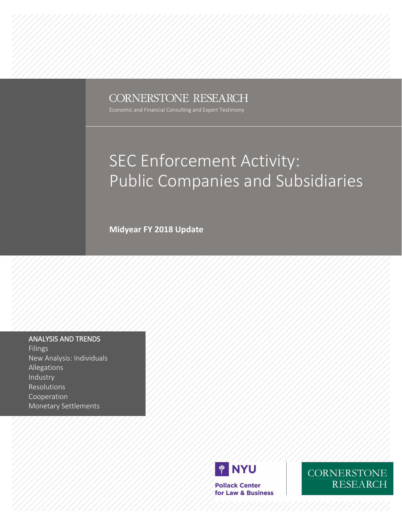## **CORNERSTONE RESEARCH**

Economic and Financial Consulting and Expert Testimony

## SEC Enforcement Activity: Public Companies and Subsidiaries

**Midyear FY 2018 Update**

### ANALYSIS AND TRENDS

Filings New Analysis: Individuals Allegations Industry Resolutions Cooperation Monetary Settlements



**Pollack Center** for Law & Business CORNERSTONE **RESEARCH**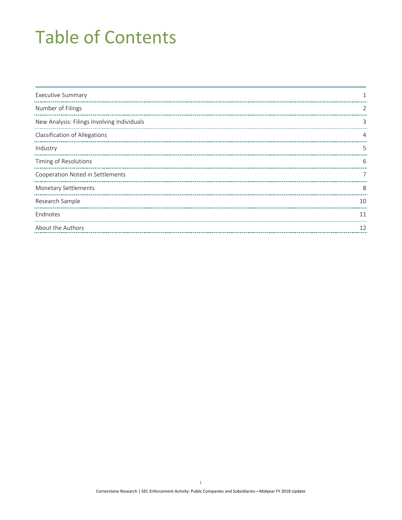# Table of Contents

| <b>Executive Summary</b>                    |    |
|---------------------------------------------|----|
| Number of Filings                           | 2  |
| New Analysis: Filings Involving Individuals | 3  |
| <b>Classification of Allegations</b>        |    |
| Industry                                    | 5  |
| Timing of Resolutions                       | 6  |
| Cooperation Noted in Settlements            |    |
| <b>Monetary Settlements</b>                 | 8  |
| Research Sample                             | 10 |
| Endnotes                                    | 11 |
| About the Authors                           | 12 |
|                                             |    |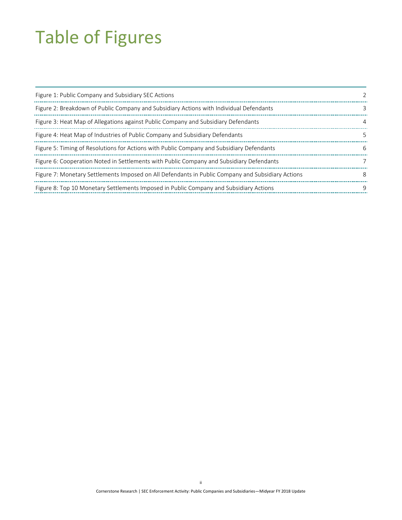# Table of Figures

| Figure 1: Public Company and Subsidiary SEC Actions                                               |   |
|---------------------------------------------------------------------------------------------------|---|
| Figure 2: Breakdown of Public Company and Subsidiary Actions with Individual Defendants           |   |
| Figure 3: Heat Map of Allegations against Public Company and Subsidiary Defendants                | 4 |
| Figure 4: Heat Map of Industries of Public Company and Subsidiary Defendants                      |   |
| Figure 5: Timing of Resolutions for Actions with Public Company and Subsidiary Defendants         | 6 |
| Figure 6: Cooperation Noted in Settlements with Public Company and Subsidiary Defendants          |   |
| Figure 7: Monetary Settlements Imposed on All Defendants in Public Company and Subsidiary Actions | 8 |
| Figure 8: Top 10 Monetary Settlements Imposed in Public Company and Subsidiary Actions            | 9 |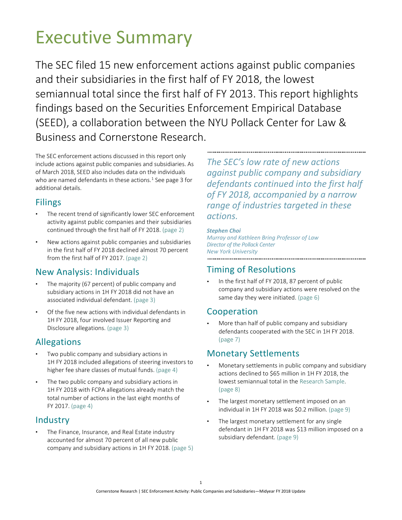# <span id="page-3-0"></span>Executive Summary

The SEC filed 15 new enforcement actions against public companies and their subsidiaries in the first half of FY 2018, the lowest semiannual total since the first half of FY 2013. This report highlights findings based on the Securities Enforcement Empirical Database (SEED), a collaboration between the NYU Pollack Center for Law & Business and Cornerstone Research.

The SEC enforcement actions discussed in this report only include actions against public companies and subsidiaries. As of March 2018, SEED also includes data on the individuals who are named defendants in these actions.<sup>1</sup> Se[e page 3 f](#page-5-2)or additional details.

### Filings

- The recent trend of significantly lower SEC enforcement activity against public companies and their subsidiaries continued through the first half of FY 2018. [\(page 2\)](#page-4-2)
- New actions against public companies and subsidiaries in the first half of FY 2018 declined almost 70 percent from the first half of FY 2017. [\(page 2\)](#page-4-2)

## New Analysis: Individuals

- The majority (67 percent) of public company and subsidiary actions in 1H FY 2018 did not have an associated individual defendant. [\(page 3\)](#page-5-2)
- Of the five new actions with individual defendants in 1H FY 2018, four involved Issuer Reporting and Disclosure allegations. [\(page 3\)](#page-5-2)

## Allegations

- Two public company and subsidiary actions in 1H FY 2018 included allegations of steering investors to higher fee share classes of mutual funds. [\(page 4\)](#page-6-2)
- The two public company and subsidiary actions in 1H FY 2018 with FCPA allegations already match the total number of actions in the last eight months of FY 2017. [\(page 4\)](#page-6-2)

## Industry

The Finance, Insurance, and Real Estate industry accounted for almost 70 percent of all new public company and subsidiary actions in 1H FY 2018. [\(page](#page-7-0) 5)

*The SEC's low rate of new actions against public company and subsidiary defendants continued into the first half of FY 2018, accompanied by a narrow range of industries targeted in these actions.*

### *Stephen Choi*

*Murray and Kathleen Bring Professor of Law Director of the Pollack Center New York University*

## Timing of Resolutions

In the first half of FY 2018, 87 percent of public company and subsidiary actions were resolved on the same day they were initiated. [\(page 6\)](#page-8-2)

### Cooperation

• More than half of public company and subsidiary defendants cooperated with the SEC in 1H FY 2018. [\(page 7\)](#page-9-2)

### Monetary Settlements

- Monetary settlements in public company and subsidiary actions declined to \$65 million in 1H FY 2018, the lowest semiannual total in th[e Research Sample.](#page-12-0) [\(page 8\)](#page-10-2)
- The largest monetary settlement imposed on an individual in 1H FY 2018 was \$0.2 million. [\(page 9\)](#page-11-1)
- The largest monetary settlement for any single defendant in 1H FY 2018 was \$13 million imposed on a subsidiary defendant. [\(page 9\)](#page-11-1)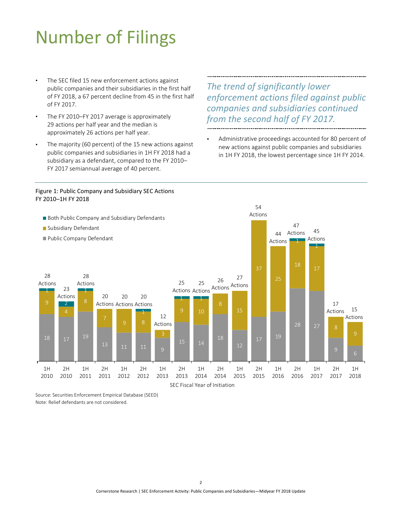# <span id="page-4-2"></span><span id="page-4-0"></span>Number of Filings

- The SEC filed 15 new enforcement actions against public companies and their subsidiaries in the first half of FY 2018, a 67 percent decline from 45 in the first half of FY 2017.
- The FY 2010–FY 2017 average is approximately 29 actions per half year and the median is approximately 26 actions per half year.
- The majority (60 percent) of the 15 new actions against public companies and subsidiaries in 1H FY 2018 had a subsidiary as a defendant, compared to the FY 2010– FY 2017 semiannual average of 40 percent.

 $\overline{a}$ 

## *The trend of significantly lower enforcement actions filed against public companies and subsidiaries continued from the second half of FY 2017.*

• Administrative proceedings accounted for 80 percent of new actions against public companies and subsidiaries in 1H FY 2018, the lowest percentage since 1H FY 2014.

<span id="page-4-1"></span>



Source: Securities Enforcement Empirical Database (SEED) Note: Relief defendants are not considered.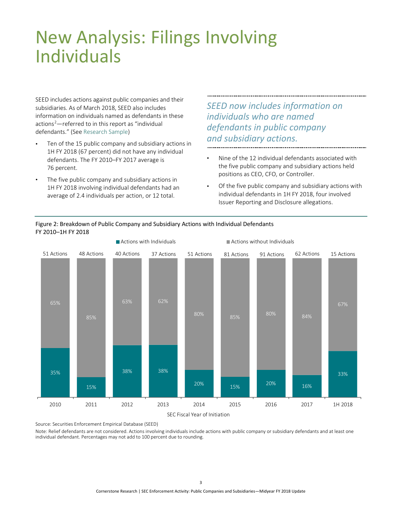## <span id="page-5-2"></span><span id="page-5-0"></span>New Analysis: Filings Involving Individuals

SEED includes actions against public companies and their subsidiaries. As of March 2018, SEED also includes information on individuals named as defendants in these actions<sup>2</sup>—referred to in this report as "individual defendants." (Se[e Research Sample\)](#page-12-0)

- Ten of the 15 public company and subsidiary actions in 1H FY 2018 (67 percent) did not have any individual defendants. The FY 2010–FY 2017 average is 76 percent.
- The five public company and subsidiary actions in 1H FY 2018 involving individual defendants had an average of 2.4 individuals per action, or 12 total.

*SEED now includes information on individuals who are named defendants in public company and subsidiary actions.*

- Nine of the 12 individual defendants associated with the five public company and subsidiary actions held positions as CEO, CFO, or Controller.
- Of the five public company and subsidiary actions with individual defendants in 1H FY 2018, four involved Issuer Reporting and Disclosure allegations.

<span id="page-5-1"></span>



Source: Securities Enforcement Empirical Database (SEED)

Note: Relief defendants are not considered. Actions involving individuals include actions with public company or subsidiary defendants and at least one individual defendant. Percentages may not add to 100 percent due to rounding.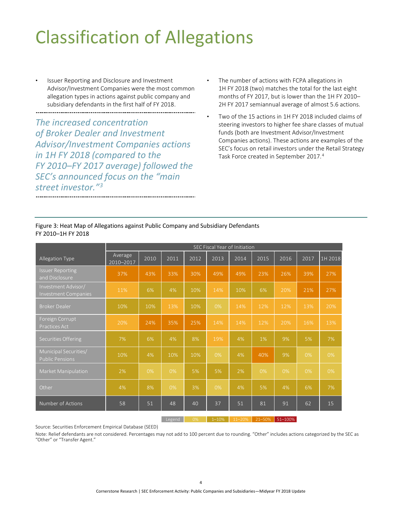# <span id="page-6-2"></span><span id="page-6-0"></span>Classification of Allegations

Issuer Reporting and Disclosure and Investment Advisor/Investment Companies were the most common allegation types in actions against public company and subsidiary defendants in the first half of FY 2018.

*The increased concentration of Broker Dealer and Investment Advisor/Investment Companies actions in 1H FY 2018 (compared to the FY 2010–FY 2017 average) followed the SEC's announced focus on the "main street investor.["3](#page-13-1)*

- The number of actions with FCPA allegations in 1H FY 2018 (two) matches the total for the last eight months of FY 2017, but is lower than the 1H FY 2010– 2H FY 2017 semiannual average of almost 5.6 actions.
- Two of the 15 actions in 1H FY 2018 included claims of steering investors to higher fee share classes of mutual funds (both are Investment Advisor/Investment Companies actions). These actions are examples of the SEC's focus on retail investors under the Retail Strategy Task Force created in September 2017.<sup>4</sup>

<span id="page-6-1"></span>

| Figure 3: Heat Map of Allegations against Public Company and Subsidiary Defendants |  |
|------------------------------------------------------------------------------------|--|
| FY 2010-1H FY 2018                                                                 |  |

|                                                    | SEC Fiscal Year of Initiation |      |      |      |      |                   |      |      |      |         |
|----------------------------------------------------|-------------------------------|------|------|------|------|-------------------|------|------|------|---------|
| Allegation Type                                    | Average<br>2010-2017          | 2010 | 2011 | 2012 | 2013 | $\overline{2014}$ | 2015 | 2016 | 2017 | 1H 2018 |
| <b>Issuer Reporting</b><br>and Disclosure          | 37%                           | 43%  | 33%  | 30%  | 49%  | 49%               | 23%  | 26%  | 39%  | 27%     |
| Investment Advisor/<br><b>Investment Companies</b> | 11%                           | 6%   | 4%   | 10%  | 14%  | 10%               | 6%   | 20%  | 21%  | 27%     |
| <b>Broker Dealer</b>                               | 10%                           | 10%  | 13%  | 10%  | 0%   | 14%               | 12%  | 12%  | 13%  | 20%     |
| Foreign Corrupt<br><b>Practices Act</b>            | 20%                           | 24%  | 35%  | 25%  | 14%  | 14%               | 12%  | 20%  | 16%  | 13%     |
| Securities Offering                                | 7%                            | 6%   | 4%   | 8%   | 19%  | 4%                | 1%   | 9%   | 5%   | 7%      |
| Municipal Securities/<br><b>Public Pensions</b>    | 10%                           | 4%   | 10%  | 10%  | 0%   | 4%                | 40%  | 9%   | 0%   | 0%      |
| Market Manipulation                                | 2%                            | 0%   | 0%   | 5%   | 5%   | 2%                | 0%   | 0%   | 0%   | 0%      |
| Other                                              | 4%                            | 8%   | 0%   | 3%   | 0%   | 4%                | 5%   | 4%   | 6%   | 7%      |
| Number of Actions                                  | 58                            | 51   | 48   | 40   | 37   | 51                | 81   | 91   | 62   | 15      |

Legend 0% 1–10% 11–20% 21–50% 51–100%

Source: Securities Enforcement Empirical Database (SEED)

Note: Relief defendants are not considered. Percentages may not add to 100 percent due to rounding. "Other" includes actions categorized by the SEC as "Other" or "Transfer Agent."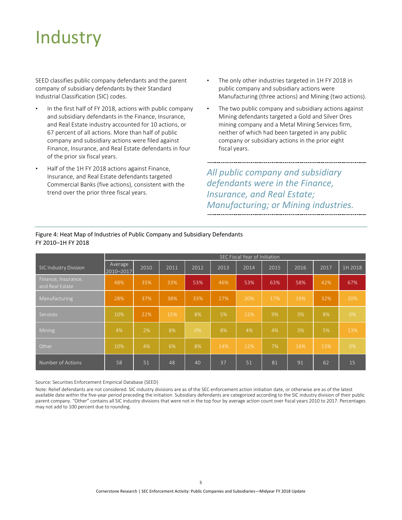# <span id="page-7-0"></span>**Industry**

SEED classifies public company defendants and the parent company of subsidiary defendants by their Standard Industrial Classification (SIC) codes.

- In the first half of FY 2018, actions with public company and subsidiary defendants in the Finance, Insurance, and Real Estate industry accounted for 10 actions, or 67 percent of all actions. More than half of public company and subsidiary actions were filed against Finance, Insurance, and Real Estate defendants in four of the prior six fiscal years.
- Half of the 1H FY 2018 actions against Finance, Insurance, and Real Estate defendants targeted Commercial Banks (five actions), consistent with the trend over the prior three fiscal years.
- The only other industries targeted in 1H FY 2018 in public company and subsidiary actions were Manufacturing (three actions) and Mining (two actions).
- The two public company and subsidiary actions against Mining defendants targeted a Gold and Silver Ores mining company and a Metal Mining Services firm, neither of which had been targeted in any public company or subsidiary actions in the prior eight fiscal years.

*All public company and subsidiary defendants were in the Finance, Insurance, and Real Estate; Manufacturing; or Mining industries.*

|                                        | SEC Fiscal Year of Initiation |      |      |       |      |      |      |      |      |         |
|----------------------------------------|-------------------------------|------|------|-------|------|------|------|------|------|---------|
| <b>SIC Industry Division</b>           | Average<br>2010-2017          | 2010 | 2011 | 2012  | 2013 | 2014 | 2015 | 2016 | 2017 | 1H 2018 |
| Finance, Insurance,<br>and Real Estate | 48%                           | 35%  | 33%  | 53%   | 46%  | 53%  | 63%  | 58%  | 42%  | 67%     |
| Manufacturing                          | 28%                           | 37%  | 38%  | 33%   | 27%  | 20%  | 17%  | 19%  | 32%  | 20%     |
| Services                               | 10%                           | 22%  | 15%  | 8%    | 5%   | 12%  | 9%   | 3%   | 8%   | 0%      |
| Mining                                 | 4%                            | 2%   | 8%   | $0\%$ | 8%   | 4%   | 4%   | 3%   | 5%   | 13%     |
| Other                                  | 10%                           | 4%   | 6%   | 8%    | 14%  | 12%  | 7%   | 16%  | 13%  | 0%      |
| Number of Actions                      | 58                            | 51   | 48   | 40    | 37   | 51   | 81   | 91   | 62   | 15      |

### <span id="page-7-1"></span>Figure 4: Heat Map of Industries of Public Company and Subsidiary Defendants FY 2010–1H FY 2018

Source: Securities Enforcement Empirical Database (SEED)

Note: Relief defendants are not considered. SIC industry divisions are as of the SEC enforcement action initiation date, or otherwise are as of the latest available date within the five-year period preceding the initiation. Subsidiary defendants are categorized according to the SIC industry division of their public parent company. "Other" contains all SIC industry divisions that were not in the top four by average action count over fiscal years 2010 to 2017. Percentages may not add to 100 percent due to rounding.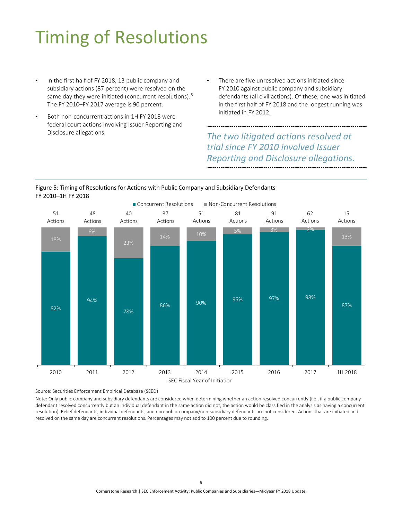# <span id="page-8-2"></span><span id="page-8-0"></span>Timing of Resolutions

- In the first half of FY 2018, 13 public company and subsidiary actions (87 percent) were resolved on the same day they were initiated (concurrent resolutions).<sup>[5](#page-13-1)</sup> The FY 2010–FY 2017 average is 90 percent.
- Both non-concurrent actions in 1H FY 2018 were federal court actions involving Issuer Reporting and Disclosure allegations.
- There are five unresolved actions initiated since FY 2010 against public company and subsidiary defendants (all civil actions). Of these, one was initiated in the first half of FY 2018 and the longest running was initiated in FY 2012.

## *The two litigated actions resolved at trial since FY 2010 involved Issuer Reporting and Disclosure allegations.*

### <span id="page-8-1"></span>Figure 5: Timing of Resolutions for Actions with Public Company and Subsidiary Defendants<br>FY 2010, 4U FY 2019 FY 2010–1H FY 2018  $\overline{a}$



Source: Securities Enforcement Empirical Database (SEED)

Note: Only public company and subsidiary defendants are considered when determining whether an action resolved concurrently (i.e., if a public company defendant resolved concurrently but an individual defendant in the same action did not, the action would be classified in the analysis as having a concurrent resolution). Relief defendants, individual defendants, and non-public company/non-subsidiary defendants are not considered. Actions that are initiated and resolved on the same day are concurrent resolutions. Percentages may not add to 100 percent due to rounding. :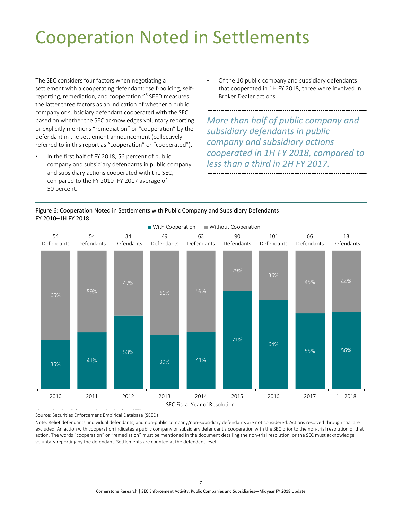# <span id="page-9-2"></span><span id="page-9-0"></span>Cooperation Noted in Settlements

The SEC considers four factors when negotiating a settlement with a cooperating defendant: "self-policing, selfreporting, remediation, and cooperation.["6](#page-13-1) SEED measures the latter three factors as an indication of whether a public company or subsidiary defendant cooperated with the SEC based on whether the SEC acknowledges voluntary reporting or explicitly mentions "remediation" or "cooperation" by the defendant in the settlement announcement (collectively referred to in this report as "cooperation" or "cooperated").

In the first half of FY 2018, 56 percent of public company and subsidiary defendants in public company and subsidiary actions cooperated with the SEC, compared to the FY 2010–FY 2017 average of 50 percent.

l

• Of the 10 public company and subsidiary defendants that cooperated in 1H FY 2018, three were involved in Broker Dealer actions.

*More than half of public company and subsidiary defendants in public company and subsidiary actions cooperated in 1H FY 2018, compared to less than a third in 2H FY 2017.*



### <span id="page-9-1"></span>Figure 6: Cooperation Noted in Settlements with Public Company and Subsidiary Defendants

Source: Securities Enforcement Empirical Database (SEED) S S i i E f E i i l D b (SEED) l

Note: Relief defendants, individual defendants, and non-public company/non-subsidiary defendants are not considered. Actions resolved through trial are excluded. An action with cooperation indicates a public company or subsidiary defendant's cooperation with the SEC prior to the non-trial resolution of that action. The words "cooperation" or "remediation" must be mentioned in the document detailing the non-trial resolution, or the SEC must acknowledge voluntary reporting by the defendant. Settlements are counted at the defendant level.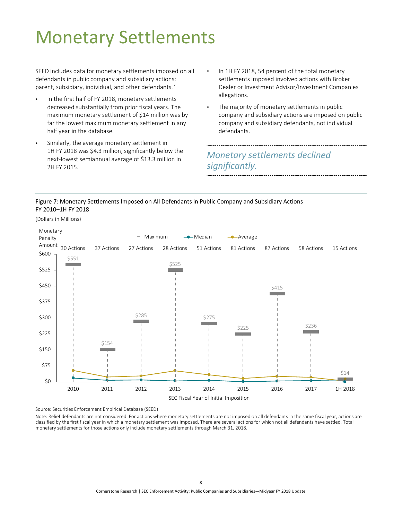# <span id="page-10-2"></span><span id="page-10-0"></span>Monetary Settlements

SEED includes data for monetary settlements imposed on all defendants in public company and subsidiary actions: parent, subsidiary, individual, and other defendants.<sup>[7](#page-13-1)</sup>

- In the first half of FY 2018, monetary settlements decreased substantially from prior fiscal years. The maximum monetary settlement of \$14 million was by far the lowest maximum monetary settlement in any half year in the database.
- Similarly, the average monetary settlement in 1H FY 2018 was \$4.3 million, significantly below the next-lowest semiannual average of \$13.3 million in 2H FY 2015.
- In 1H FY 2018, 54 percent of the total monetary settlements imposed involved actions with Broker Dealer or Investment Advisor/Investment Companies allegations.
- The majority of monetary settlements in public company and subsidiary actions are imposed on public company and subsidiary defendants, not individual defendants.

## *Monetary settlements declined significantly.*

### <span id="page-10-1"></span>Figure 7: Monetary Settlements Imposed on All Defendants in Public Company and Subsidiary Actions FY 2010–1H FY 2018

(Dollars in Millions)



Source: Securities Enforcement Empirical Database (SEED) Ì

Note: Relief defendants are not considered. For actions where monetary settlements are not imposed on all defendants in the same fiscal year, actions are classified by the first fiscal year in which a monetary settlement was imposed. There are several actions for which not all defendants have settled. Total monetary settlements for those actions only include monetary settlements through March 31, 2018.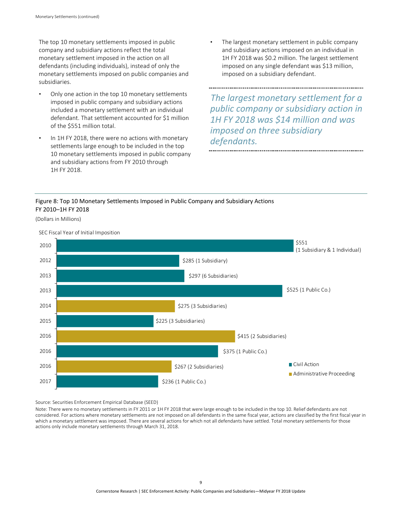<span id="page-11-1"></span>The top 10 monetary settlements imposed in public company and subsidiary actions reflect the total monetary settlement imposed in the action on all defendants (including individuals), instead of only the monetary settlements imposed on public companies and subsidiaries.

- Only one action in the top 10 monetary settlements imposed in public company and subsidiary actions included a monetary settlement with an individual defendant. That settlement accounted for \$1 million of the \$551 million total.
- In 1H FY 2018, there were no actions with monetary settlements large enough to be included in the top 10 monetary settlements imposed in public company and subsidiary actions from FY 2010 through 1H FY 2018.

The largest monetary settlement in public company and subsidiary actions imposed on an individual in 1H FY 2018 was \$0.2 million. The largest settlement imposed on any single defendant was \$13 million, imposed on a subsidiary defendant.

*The largest monetary settlement for a public company or subsidiary action in 1H FY 2018 was \$14 million and was imposed on three subsidiary defendants.*

### <span id="page-11-0"></span>Figure 8: Top 10 Monetary Settlements Imposed in Public Company and Subsidiary Actions FY 2010–1H FY 2018

(Dollars in Millions)



SEC Fiscal Year of Initial Imposition

Source: Securities Enforcement Empirical Database (SEED) i

Note: There were no monetary settlements in FY 2011 or 1H FY 2018 that were large enough to be included in the top 10. Relief defendants are not considered. For actions where monetary settlements are not imposed on all defendants in the same fiscal year, actions are classified by the first fiscal year in which a monetary settlement was imposed. There are several actions for which not all defendants have settled. Total monetary settlements for those actions only include monetary settlements through March 31, 2018.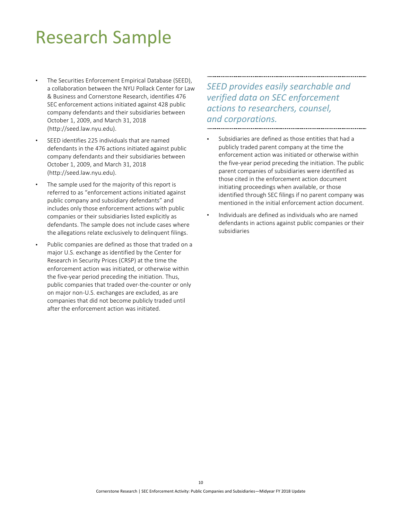## <span id="page-12-0"></span>Research Sample

- The Securities Enforcement Empirical Database (SEED), a collaboration between the NYU Pollack Center for Law & Business and Cornerstone Research, identifies 476 SEC enforcement actions initiated against 428 public company defendants and their subsidiaries between October 1, 2009, and March 31, 2018 (http://seed.law.nyu.edu).
- SEED identifies 225 individuals that are named defendants in the 476 actions initiated against public company defendants and their subsidiaries between October 1, 2009, and March 31, 2018 (http://seed.law.nyu.edu).
- The sample used for the majority of this report is referred to as "enforcement actions initiated against public company and subsidiary defendants" and includes only those enforcement actions with public companies or their subsidiaries listed explicitly as defendants. The sample does not include cases where the allegations relate exclusively to delinquent filings.
- Public companies are defined as those that traded on a major U.S. exchange as identified by the Center for Research in Security Prices (CRSP) at the time the enforcement action was initiated, or otherwise within the five-year period preceding the initiation. Thus, public companies that traded over-the-counter or only on major non-U.S. exchanges are excluded, as are companies that did not become publicly traded until after the enforcement action was initiated.

*SEED provides easily searchable and verified data on SEC enforcement actions to researchers, counsel, and corporations.* 

- Subsidiaries are defined as those entities that had a publicly traded parent company at the time the enforcement action was initiated or otherwise within the five-year period preceding the initiation. The public parent companies of subsidiaries were identified as those cited in the enforcement action document initiating proceedings when available, or those identified through SEC filings if no parent company was mentioned in the initial enforcement action document.
- Individuals are defined as individuals who are named defendants in actions against public companies or their subsidiaries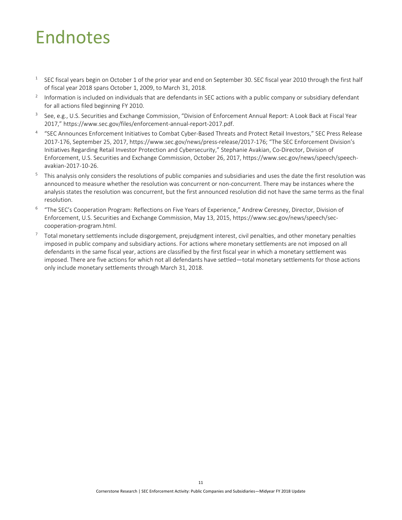## <span id="page-13-1"></span><span id="page-13-0"></span>Endnotes

- $1$  SEC fiscal years begin on October 1 of the prior year and end on September 30. SEC fiscal year 2010 through the first half of fiscal year 2018 spans October 1, 2009, to March 31, 2018.
- <sup>2</sup> Information is included on individuals that are defendants in SEC actions with a public company or subsidiary defendant for all actions filed beginning FY 2010.
- <sup>3</sup> See, e.g., U.S. Securities and Exchange Commission, "Division of Enforcement Annual Report: A Look Back at Fiscal Year 2017," https://www.sec.gov/files/enforcement-annual-report-2017.pdf.
- <sup>4</sup> "SEC Announces Enforcement Initiatives to Combat Cyber-Based Threats and Protect Retail Investors," SEC Press Release 2017-176, September 25, 2017[, https://www.sec.gov/news/press-release/2017-176;](https://www.sec.gov/news/press-release/2017-176) "The SEC Enforcement Division's Initiatives Regarding Retail Investor Protection and Cybersecurity," Stephanie Avakian, Co-Director, Division of Enforcement, U.S. Securities and Exchange Commission, October 26, 2017, https://www.sec.gov/news/speech/speechavakian-2017-10-26.
- $5$  This analysis only considers the resolutions of public companies and subsidiaries and uses the date the first resolution was announced to measure whether the resolution was concurrent or non-concurrent. There may be instances where the analysis states the resolution was concurrent, but the first announced resolution did not have the same terms as the final resolution.
- <sup>6</sup> "The SEC's Cooperation Program: Reflections on Five Years of Experience," Andrew Ceresney, Director, Division of Enforcement, U.S. Securities and Exchange Commission, May 13, 2015, https://www.sec.gov/news/speech/seccooperation-program.html.
- $7$  Total monetary settlements include disgorgement, prejudgment interest, civil penalties, and other monetary penalties imposed in public company and subsidiary actions. For actions where monetary settlements are not imposed on all defendants in the same fiscal year, actions are classified by the first fiscal year in which a monetary settlement was imposed. There are five actions for which not all defendants have settled—total monetary settlements for those actions only include monetary settlements through March 31, 2018.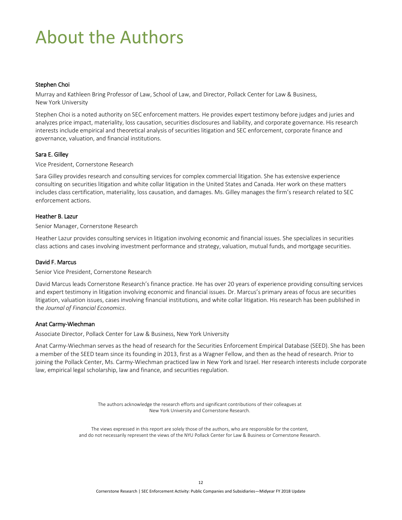# <span id="page-14-0"></span>About the Authors

#### Stephen Choi

Murray and Kathleen Bring Professor of Law, School of Law, and Director, Pollack Center for Law & Business, New York University

Stephen Choi is a noted authority on SEC enforcement matters. He provides expert testimony before judges and juries and analyzes price impact, materiality, loss causation, securities disclosures and liability, and corporate governance. His research interests include empirical and theoretical analysis of securities litigation and SEC enforcement, corporate finance and governance, valuation, and financial institutions.

#### [Sara](http://www.cornerstone.com/Staff/Ellen-Ryan) E. Gilley

Vice President, Cornerstone Research

Sara Gilley provides research and consulting services for complex commercial litigation. She has extensive experience consulting on securities litigation and white collar litigation in the United States and Canada. Her work on these matters includes class certification, materiality, loss causation, and damages. Ms. Gilley manages the firm's research related to SEC enforcement actions.

#### Heather B. Lazur

Senior Manager, Cornerstone Research

Heather Lazur provides consulting services in litigation involving economic and financial issues. She specializes in securities class actions and cases involving investment performance and strategy, valuation, mutual funds, and mortgage securities.

#### [David](http://www.cornerstone.com/Staff/Laura-Simmons) F. Marcus

Senior Vice President, Cornerstone Research

David Marcus leads Cornerstone Research's finance practice. He has over 20 years of experience providing consulting services and expert testimony in litigation involving economic and financial issues. Dr. Marcus's primary areas of focus are securities litigation, valuation issues, cases involving financial institutions, and white collar litigation. His research has been published in the *Journal of Financial Economics*.

#### Anat Carmy-Wiechman

Associate Director, Pollack Center for Law & Business, New York University

Anat Carmy-Wiechman serves as the head of research for the Securities Enforcement Empirical Database (SEED). She has been a member of the SEED team since its founding in 2013, first as a Wagner Fellow, and then as the head of research. Prior to joining the Pollack Center, Ms. Carmy-Wiechman practiced law in New York and Israel. Her research interests include corporate law, empirical legal scholarship, law and finance, and securities regulation.

> The authors acknowledge the research efforts and significant contributions of their colleagues at New York University and Cornerstone Research.

The views expressed in this report are solely those of the authors, who are responsible for the content, and do not necessarily represent the views of the NYU Pollack Center for Law & Business or Cornerstone Research.